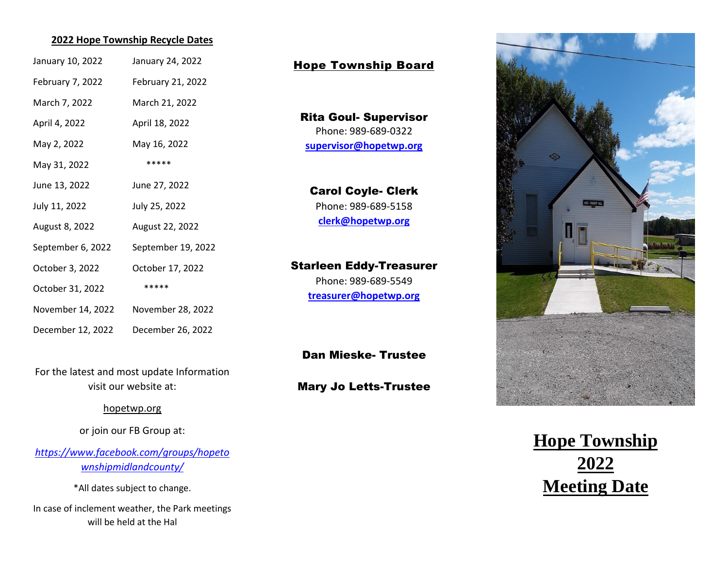### **2022 Hope Township Recycle Dates**

| January 10, 2022  | January 24, 2022   |
|-------------------|--------------------|
| February 7, 2022  | February 21, 2022  |
| March 7, 2022     | March 21, 2022     |
| April 4, 2022     | April 18, 2022     |
| May 2, 2022       | May 16, 2022       |
| May 31, 2022      | *****              |
| June 13, 2022     | June 27, 2022      |
| July 11, 2022     | July 25, 2022      |
| August 8, 2022    | August 22, 2022    |
| September 6, 2022 | September 19, 2022 |
| October 3, 2022   | October 17, 2022   |
| October 31, 2022  | *****              |
| November 14, 2022 | November 28, 2022  |
| December 12, 2022 | December 26, 2022  |

For the latest and most update Information visit our website at:

#### hopetwp.org

or join our FB Group at:

*[https://www.facebook.com/groups/hopeto](https://www.facebook.com/groups/hopetownshipmidlandcounty/) [wnshipmidlandcounty/](https://www.facebook.com/groups/hopetownshipmidlandcounty/)*

\*All dates subject to change.

In case of inclement weather, the Park meetings will be held at the Hal

### Hope Township Board

Rita Goul- Supervisor Phone: 989-689-0322 **[supervisor@hopetwp.org](mailto:supervisor@hopetwp.org)**

### Carol Coyle- Clerk Phone: 989-689-5158

**[clerk@hopetwp.org](mailto:clerk@hopetwp.org)**

# Starleen Eddy-Treasurer

Phone: 989-689-5549 **[treasurer@hopetwp.org](mailto:treasurer@hopetwp.org)**

### Dan Mieske- Trustee

### Mary Jo Letts-Trustee



**Hope Township 2022 Meeting Date**